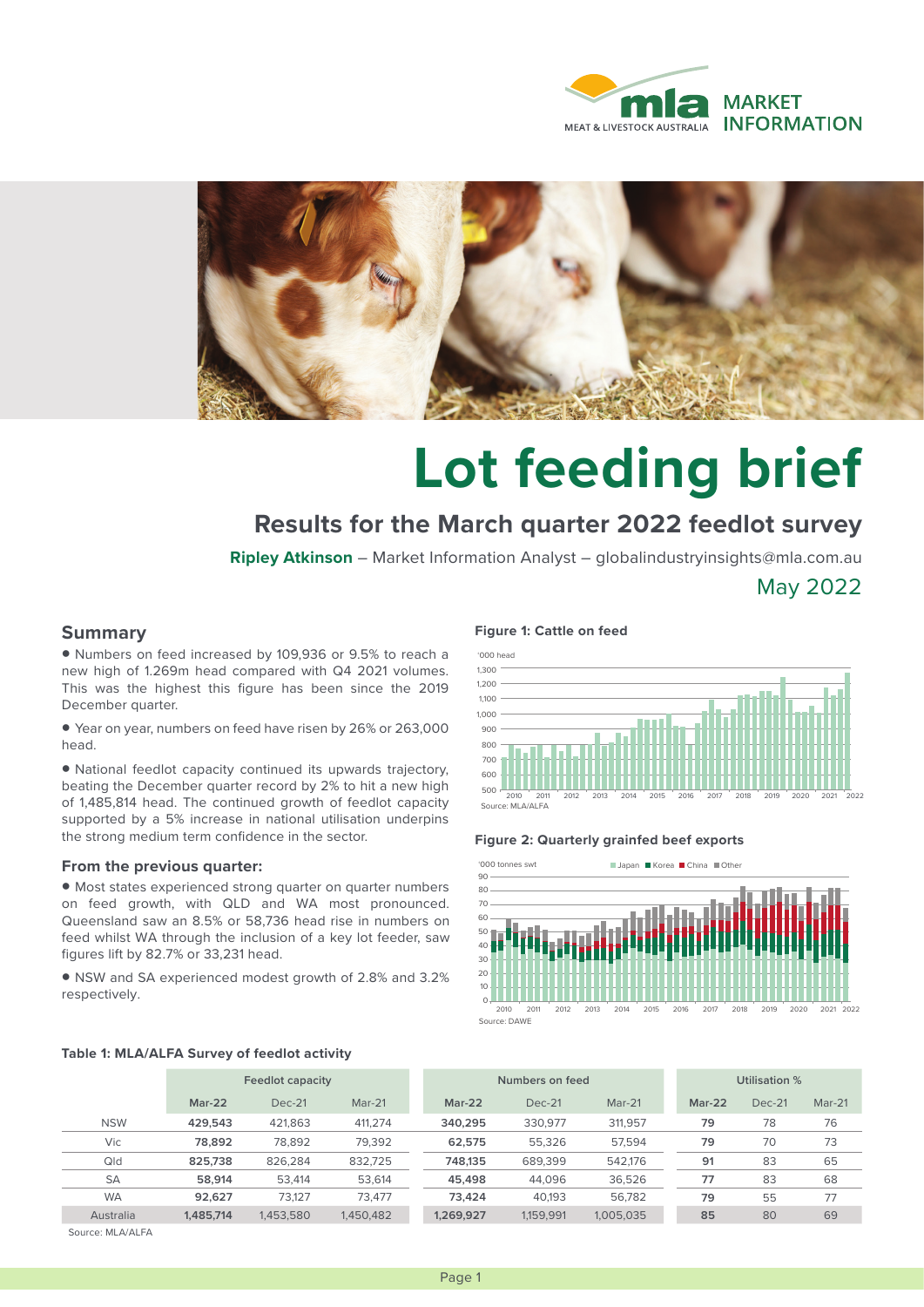



# **Lot feeding brief**

## **Results for the March quarter 2022 feedlot survey**

**Ripley Atkinson** – Market Information Analyst – globalindustryinsights@mla.com.au

May 2022

### **Summary**

• Numbers on feed increased by 109,936 or 9.5% to reach a new high of 1.269m head compared with Q4 2021 volumes. This was the highest this figure has been since the 2019 December quarter.

• Year on year, numbers on feed have risen by 26% or 263,000 head.

• National feedlot capacity continued its upwards trajectory, beating the December quarter record by 2% to hit a new high of 1,485,814 head. The continued growth of feedlot capacity supported by a 5% increase in national utilisation underpins the strong medium term confidence in the sector.

#### **From the previous quarter:**

• Most states experienced strong quarter on quarter numbers on feed growth, with QLD and WA most pronounced. Queensland saw an 8.5% or 58,736 head rise in numbers on feed whilst WA through the inclusion of a key lot feeder, saw figures lift by 82.7% or 33,231 head.

• NSW and SA experienced modest growth of 2.8% and 3.2% respectively.

#### **Figure 1: Cattle on feed**



#### **Figure 2: Quarterly grainfed beef exports**



#### **Table 1: MLA/ALFA Survey of feedlot activity**

|            | Feedlot capacity |           |           | Numbers on feed |           |           | Utilisation % |          |          |
|------------|------------------|-----------|-----------|-----------------|-----------|-----------|---------------|----------|----------|
|            | $Mar-22$         | $Dec-21$  | $Mar-21$  | $Mar-22$        | $Dec-21$  | $Mar-21$  | $Mar-22$      | $Dec-21$ | $Mar-21$ |
| <b>NSW</b> | 429.543          | 421.863   | 411,274   | 340.295         | 330.977   | 311,957   | 79            | 78       | 76       |
| Vic        | 78.892           | 78,892    | 79,392    | 62.575          | 55,326    | 57,594    | 79            | 70       | 73       |
| Qld        | 825,738          | 826.284   | 832.725   | 748.135         | 689.399   | 542.176   | 91            | 83       | 65       |
| <b>SA</b>  | 58.914           | 53.414    | 53,614    | 45.498          | 44.096    | 36,526    | 77            | 83       | 68       |
| <b>WA</b>  | 92.627           | 73.127    | 73.477    | 73.424          | 40.193    | 56.782    | 79            | 55       | 77       |
| Australia  | 1,485,714        | 1,453,580 | 1,450,482 | 1.269.927       | 1,159,991 | 1,005,035 | 85            | 80       | 69       |
|            |                  |           |           |                 |           |           |               |          |          |

Source: MLA/ALFA